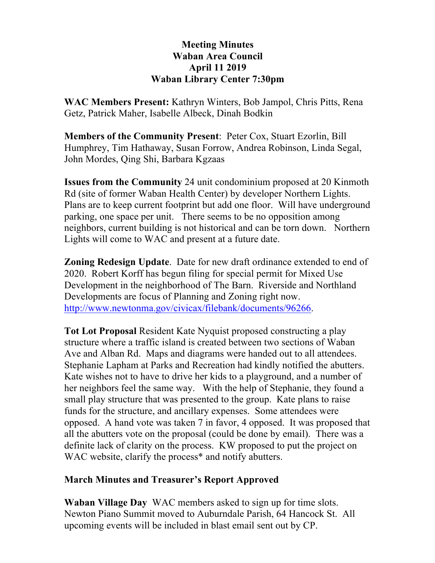## **Meeting Minutes Waban Area Council April 11 2019 Waban Library Center 7:30pm**

**WAC Members Present:** Kathryn Winters, Bob Jampol, Chris Pitts, Rena Getz, Patrick Maher, Isabelle Albeck, Dinah Bodkin

**Members of the Community Present**: Peter Cox, Stuart Ezorlin, Bill Humphrey, Tim Hathaway, Susan Forrow, Andrea Robinson, Linda Segal, John Mordes, Qing Shi, Barbara Kgzaas

**Issues from the Community** 24 unit condominium proposed at 20 Kinmoth Rd (site of former Waban Health Center) by developer Northern Lights. Plans are to keep current footprint but add one floor. Will have underground parking, one space per unit. There seems to be no opposition among neighbors, current building is not historical and can be torn down. Northern Lights will come to WAC and present at a future date.

**Zoning Redesign Update**. Date for new draft ordinance extended to end of 2020. Robert Korff has begun filing for special permit for Mixed Use Development in the neighborhood of The Barn. Riverside and Northland Developments are focus of Planning and Zoning right now. http://www.newtonma.gov/civicax/filebank/documents/96266.

**Tot Lot Proposal** Resident Kate Nyquist proposed constructing a play structure where a traffic island is created between two sections of Waban Ave and Alban Rd. Maps and diagrams were handed out to all attendees. Stephanie Lapham at Parks and Recreation had kindly notified the abutters. Kate wishes not to have to drive her kids to a playground, and a number of her neighbors feel the same way. With the help of Stephanie, they found a small play structure that was presented to the group. Kate plans to raise funds for the structure, and ancillary expenses. Some attendees were opposed. A hand vote was taken 7 in favor, 4 opposed. It was proposed that all the abutters vote on the proposal (could be done by email). There was a definite lack of clarity on the process. KW proposed to put the project on WAC website, clarify the process<sup>\*</sup> and notify abutters.

## **March Minutes and Treasurer's Report Approved**

**Waban Village Day** WAC members asked to sign up for time slots. Newton Piano Summit moved to Auburndale Parish, 64 Hancock St. All upcoming events will be included in blast email sent out by CP.